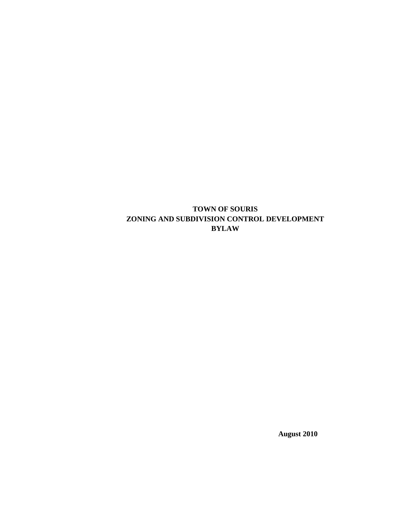**TOWN OF SOURIS ZONING AND SUBDIVISION CONTROL DEVELOPMENT BYLAW**

**August 2010**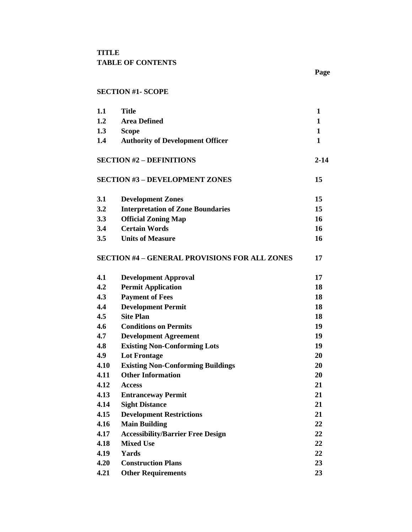## **SECTION #1- SCOPE**

| 1.1  | <b>Title</b>                                         | 1            |
|------|------------------------------------------------------|--------------|
| 1.2  | <b>Area Defined</b>                                  | 1            |
| 1.3  | <b>Scope</b>                                         | $\mathbf{1}$ |
| 1.4  | <b>Authority of Development Officer</b>              | 1            |
|      | <b>SECTION #2 - DEFINITIONS</b>                      | $2 - 14$     |
|      | <b>SECTION #3 - DEVELOPMENT ZONES</b>                | 15           |
| 3.1  | <b>Development Zones</b>                             | 15           |
| 3.2  | <b>Interpretation of Zone Boundaries</b>             | 15           |
| 3.3  | <b>Official Zoning Map</b>                           | 16           |
| 3.4  | <b>Certain Words</b>                                 | 16           |
| 3.5  | <b>Units of Measure</b>                              | 16           |
|      | <b>SECTION #4 - GENERAL PROVISIONS FOR ALL ZONES</b> | 17           |
| 4.1  | <b>Development Approval</b>                          | 17           |
| 4.2  | <b>Permit Application</b>                            | 18           |
| 4.3  | <b>Payment of Fees</b>                               | 18           |
| 4.4  | <b>Development Permit</b>                            | 18           |
| 4.5  | <b>Site Plan</b>                                     | 18           |
| 4.6  | <b>Conditions on Permits</b>                         | 19           |
| 4.7  | <b>Development Agreement</b>                         | 19           |
| 4.8  | <b>Existing Non-Conforming Lots</b>                  | 19           |
| 4.9  | <b>Lot Frontage</b>                                  | 20           |
| 4.10 | <b>Existing Non-Conforming Buildings</b>             | 20           |
| 4.11 | <b>Other Information</b>                             | 20           |
| 4.12 | <b>Access</b>                                        | 21           |
| 4.13 | <b>Entranceway Permit</b>                            | 21           |
| 4.14 | <b>Sight Distance</b>                                | 21           |
| 4.15 | <b>Development Restrictions</b>                      | 21           |
| 4.16 | <b>Main Building</b>                                 | 22           |
| 4.17 | <b>Accessibility/Barrier Free Design</b>             | 22           |
| 4.18 | <b>Mixed Use</b>                                     | 22           |
| 4.19 | Yards                                                | 22           |
| 4.20 | <b>Construction Plans</b>                            | 23           |
| 4.21 | <b>Other Requirements</b>                            | 23           |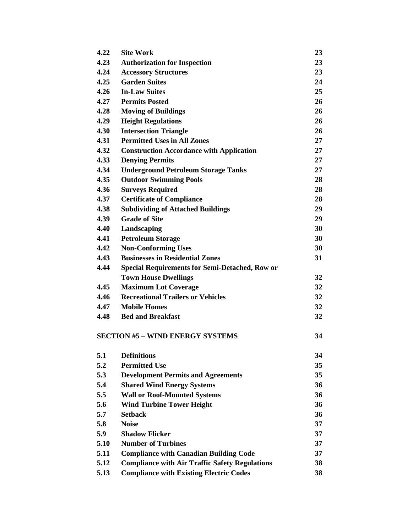| 4.22 | <b>Site Work</b>                                      | 23 |
|------|-------------------------------------------------------|----|
| 4.23 | <b>Authorization for Inspection</b>                   | 23 |
| 4.24 | <b>Accessory Structures</b>                           | 23 |
| 4.25 | <b>Garden Suites</b>                                  | 24 |
| 4.26 | <b>In-Law Suites</b>                                  | 25 |
| 4.27 | <b>Permits Posted</b>                                 | 26 |
| 4.28 | <b>Moving of Buildings</b>                            | 26 |
| 4.29 | <b>Height Regulations</b>                             | 26 |
| 4.30 | <b>Intersection Triangle</b>                          | 26 |
| 4.31 | <b>Permitted Uses in All Zones</b>                    | 27 |
| 4.32 | <b>Construction Accordance with Application</b>       | 27 |
| 4.33 | <b>Denying Permits</b>                                | 27 |
| 4.34 | <b>Underground Petroleum Storage Tanks</b>            | 27 |
| 4.35 | <b>Outdoor Swimming Pools</b>                         | 28 |
| 4.36 | <b>Surveys Required</b>                               | 28 |
| 4.37 | <b>Certificate of Compliance</b>                      | 28 |
| 4.38 | <b>Subdividing of Attached Buildings</b>              | 29 |
| 4.39 | <b>Grade of Site</b>                                  | 29 |
| 4.40 | Landscaping                                           | 30 |
| 4.41 | <b>Petroleum Storage</b>                              | 30 |
| 4.42 | <b>Non-Conforming Uses</b>                            | 30 |
| 4.43 | <b>Businesses in Residential Zones</b>                | 31 |
| 4.44 | <b>Special Requirements for Semi-Detached, Row or</b> |    |
|      | <b>Town House Dwellings</b>                           | 32 |
| 4.45 | <b>Maximum Lot Coverage</b>                           | 32 |
| 4.46 | <b>Recreational Trailers or Vehicles</b>              | 32 |
| 4.47 | <b>Mobile Homes</b>                                   | 32 |
| 4.48 | <b>Bed and Breakfast</b>                              | 32 |
|      |                                                       |    |
|      | <b>SECTION #5 - WIND ENERGY SYSTEMS</b>               | 34 |
| 5.1  | <b>Definitions</b>                                    | 34 |
| 5.2  | <b>Permitted Use</b>                                  | 35 |
| 5.3  | <b>Development Permits and Agreements</b>             | 35 |
| 5.4  | <b>Shared Wind Energy Systems</b>                     | 36 |
| 5.5  | <b>Wall or Roof-Mounted Systems</b>                   | 36 |
| 5.6  | <b>Wind Turbine Tower Height</b>                      | 36 |
| 5.7  | <b>Setback</b>                                        | 36 |
| 5.8  | <b>Noise</b>                                          | 37 |
| 5.9  | <b>Shadow Flicker</b>                                 | 37 |
| 5.10 | <b>Number of Turbines</b>                             | 37 |
| 5.11 | <b>Compliance with Canadian Building Code</b>         | 37 |
| 5.12 | <b>Compliance with Air Traffic Safety Regulations</b> | 38 |
| 5.13 | <b>Compliance with Existing Electric Codes</b>        | 38 |
|      |                                                       |    |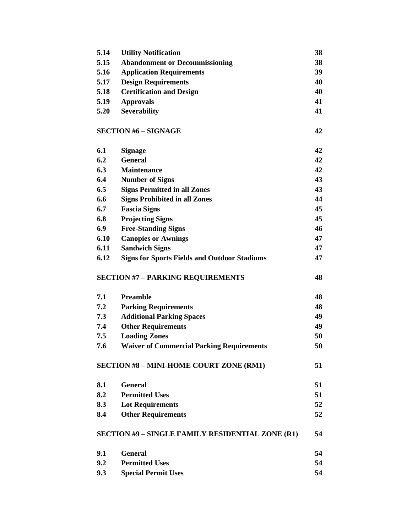| 5.14 | <b>Utility Notification</b>                         | 38 |
|------|-----------------------------------------------------|----|
| 5.15 | <b>Abandonment or Decommissioning</b>               | 38 |
| 5.16 | <b>Application Requirements</b>                     | 39 |
| 5.17 | <b>Design Requirements</b>                          | 40 |
| 5.18 | <b>Certification and Design</b>                     | 40 |
| 5.19 | <b>Approvals</b>                                    | 41 |
| 5.20 | <b>Severability</b>                                 | 41 |
|      | <b>SECTION #6 - SIGNAGE</b>                         | 42 |
| 6.1  | <b>Signage</b>                                      | 42 |
| 6.2  | <b>General</b>                                      | 42 |
| 6.3  | <b>Maintenance</b>                                  | 42 |
| 6.4  | <b>Number of Signs</b>                              | 43 |
| 6.5  | <b>Signs Permitted in all Zones</b>                 | 43 |
| 6.6  | <b>Signs Prohibited in all Zones</b>                | 44 |
| 6.7  | <b>Fascia Signs</b>                                 | 45 |
| 6.8  | <b>Projecting Signs</b>                             | 45 |
| 6.9  | <b>Free-Standing Signs</b>                          | 46 |
| 6.10 | <b>Canopies or Awnings</b>                          | 47 |
| 6.11 | <b>Sandwich Signs</b>                               | 47 |
| 6.12 | <b>Signs for Sports Fields and Outdoor Stadiums</b> | 47 |
|      | <b>SECTION #7 - PARKING REQUIREMENTS</b>            | 48 |
| 7.1  | <b>Preamble</b>                                     | 48 |
| 7.2  | <b>Parking Requirements</b>                         | 48 |
| 7.3  | <b>Additional Parking Spaces</b>                    | 49 |
| 7.4  | <b>Other Requirements</b>                           | 49 |
| 7.5  | <b>Loading Zones</b>                                | 50 |
| 7.6  | <b>Waiver of Commercial Parking Requirements</b>    | 50 |
|      | <b>SECTION #8 - MINI-HOME COURT ZONE (RM1)</b>      | 51 |
| 8.1  | <b>General</b>                                      | 51 |
| 8.2  | <b>Permitted Uses</b>                               | 51 |
| 8.3  | <b>Lot Requirements</b>                             | 52 |
| 8.4  | <b>Other Requirements</b>                           | 52 |
|      | SECTION #9 - SINGLE FAMILY RESIDENTIAL ZONE (R1)    | 54 |
| 9.1  | <b>General</b>                                      | 54 |
| 9.2  | <b>Permitted Uses</b>                               | 54 |
| 9.3  | <b>Special Permit Uses</b>                          | 54 |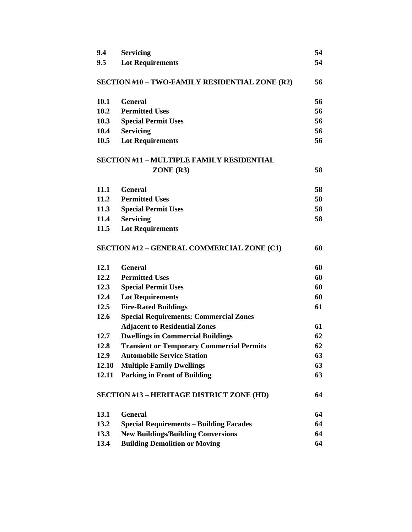| 9.4   | <b>Servicing</b>                                  | 54 |
|-------|---------------------------------------------------|----|
| 9.5   | <b>Lot Requirements</b>                           | 54 |
|       |                                                   |    |
|       | SECTION #10 - TWO-FAMILY RESIDENTIAL ZONE (R2)    | 56 |
| 10.1  | <b>General</b>                                    | 56 |
| 10.2  | <b>Permitted Uses</b>                             | 56 |
| 10.3  | <b>Special Permit Uses</b>                        | 56 |
| 10.4  | <b>Servicing</b>                                  | 56 |
| 10.5  | <b>Lot Requirements</b>                           | 56 |
|       | <b>SECTION #11 - MULTIPLE FAMILY RESIDENTIAL</b>  |    |
|       | ZONE (R3)                                         | 58 |
| 11.1  | <b>General</b>                                    | 58 |
| 11.2  | <b>Permitted Uses</b>                             | 58 |
| 11.3  | <b>Special Permit Uses</b>                        | 58 |
| 11.4  | <b>Servicing</b>                                  | 58 |
| 11.5  | <b>Lot Requirements</b>                           |    |
|       |                                                   |    |
|       | <b>SECTION #12 - GENERAL COMMERCIAL ZONE (C1)</b> | 60 |
| 12.1  | <b>General</b>                                    | 60 |
| 12.2  | <b>Permitted Uses</b>                             | 60 |
| 12.3  | <b>Special Permit Uses</b>                        | 60 |
| 12.4  | <b>Lot Requirements</b>                           | 60 |
| 12.5  | <b>Fire-Rated Buildings</b>                       | 61 |
| 12.6  | <b>Special Requirements: Commercial Zones</b>     |    |
|       | <b>Adjacent to Residential Zones</b>              | 61 |
| 12.7  | <b>Dwellings in Commercial Buildings</b>          | 62 |
| 12.8  | <b>Transient or Temporary Commercial Permits</b>  | 62 |
| 12.9  | <b>Automobile Service Station</b>                 | 63 |
| 12.10 | <b>Multiple Family Dwellings</b>                  | 63 |
| 12.11 | <b>Parking in Front of Building</b>               | 63 |
|       | <b>SECTION #13 - HERITAGE DISTRICT ZONE (HD)</b>  | 64 |
| 13.1  | <b>General</b>                                    | 64 |
| 13.2  | <b>Special Requirements - Building Facades</b>    | 64 |
| 13.3  | <b>New Buildings/Building Conversions</b>         | 64 |
| 13.4  | <b>Building Demolition or Moving</b>              | 64 |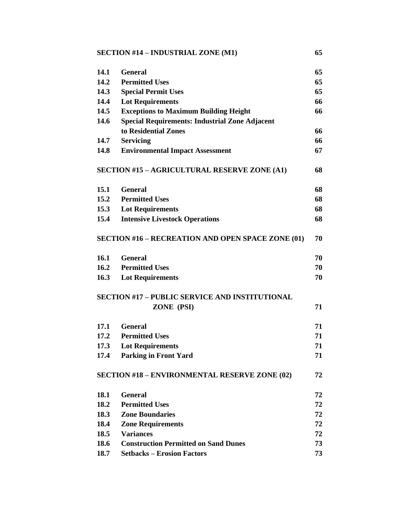## **SECTION #14 – INDUSTRIAL ZONE (M1) 65**

| 14.1 | <b>General</b>                                           | 65 |
|------|----------------------------------------------------------|----|
| 14.2 | <b>Permitted Uses</b>                                    | 65 |
| 14.3 | <b>Special Permit Uses</b>                               | 65 |
| 14.4 | <b>Lot Requirements</b>                                  | 66 |
| 14.5 | <b>Exceptions to Maximum Building Height</b>             | 66 |
| 14.6 | <b>Special Requirements: Industrial Zone Adjacent</b>    |    |
|      | to Residential Zones                                     | 66 |
| 14.7 | <b>Servicing</b>                                         | 66 |
| 14.8 | <b>Environmental Impact Assessment</b>                   | 67 |
|      | <b>SECTION #15 - AGRICULTURAL RESERVE ZONE (A1)</b>      | 68 |
| 15.1 | <b>General</b>                                           | 68 |
| 15.2 | <b>Permitted Uses</b>                                    | 68 |
| 15.3 | <b>Lot Requirements</b>                                  | 68 |
| 15.4 | <b>Intensive Livestock Operations</b>                    | 68 |
|      | <b>SECTION #16 - RECREATION AND OPEN SPACE ZONE (01)</b> | 70 |
| 16.1 | <b>General</b>                                           | 70 |
| 16.2 | <b>Permitted Uses</b>                                    | 70 |
| 16.3 | <b>Lot Requirements</b>                                  | 70 |
|      | <b>SECTION #17 - PUBLIC SERVICE AND INSTITUTIONAL</b>    |    |
|      | ZONE (PSI)                                               | 71 |
| 17.1 | <b>General</b>                                           | 71 |
| 17.2 | <b>Permitted Uses</b>                                    | 71 |
| 17.3 | <b>Lot Requirements</b>                                  | 71 |
| 17.4 | <b>Parking in Front Yard</b>                             | 71 |
|      | <b>SECTION #18 - ENVIRONMENTAL RESERVE ZONE (02)</b>     | 72 |
| 18.1 | <b>General</b>                                           | 72 |
| 18.2 | <b>Permitted Uses</b>                                    | 72 |
| 18.3 | <b>Zone Boundaries</b>                                   | 72 |
| 18.4 | <b>Zone Requirements</b>                                 | 72 |
| 18.5 | <b>Variances</b>                                         | 72 |
| 18.6 | <b>Construction Permitted on Sand Dunes</b>              | 73 |
| 18.7 | <b>Setbacks - Erosion Factors</b>                        | 73 |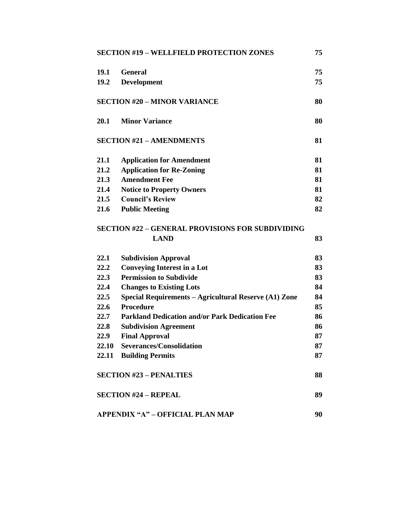|             | <b>SECTION #19 - WELLFIELD PROTECTION ZONES</b>         | 75 |
|-------------|---------------------------------------------------------|----|
| <b>19.1</b> | <b>General</b>                                          | 75 |
| 19.2        | <b>Development</b>                                      | 75 |
|             | <b>SECTION #20 - MINOR VARIANCE</b>                     | 80 |
| 20.1        | <b>Minor Variance</b>                                   | 80 |
|             | <b>SECTION #21 - AMENDMENTS</b>                         | 81 |
| 21.1        | <b>Application for Amendment</b>                        | 81 |
| 21.2        | <b>Application for Re-Zoning</b>                        | 81 |
| 21.3        | <b>Amendment Fee</b>                                    | 81 |
| 21.4        | <b>Notice to Property Owners</b>                        | 81 |
| 21.5        | <b>Council's Review</b>                                 | 82 |
| 21.6        | <b>Public Meeting</b>                                   | 82 |
|             | <b>SECTION #22 - GENERAL PROVISIONS FOR SUBDIVIDING</b> |    |
|             | <b>LAND</b>                                             | 83 |
| 22.1        | <b>Subdivision Approval</b>                             | 83 |
| 22.2        | <b>Conveying Interest in a Lot</b>                      | 83 |
| 22.3        | <b>Permission to Subdivide</b>                          | 83 |
| 22.4        | <b>Changes to Existing Lots</b>                         | 84 |
| 22.5        | Special Requirements – Agricultural Reserve (A1) Zone   | 84 |
| 22.6        | <b>Procedure</b>                                        | 85 |
| 22.7        | <b>Parkland Dedication and/or Park Dedication Fee</b>   | 86 |
| 22.8        | <b>Subdivision Agreement</b>                            | 86 |
| 22.9        | <b>Final Approval</b>                                   | 87 |
| 22.10       | <b>Severances/Consolidation</b>                         | 87 |
|             | 22.11 Building Permits                                  | 87 |
|             | <b>SECTION #23 - PENALTIES</b>                          | 88 |
|             | <b>SECTION #24 - REPEAL</b>                             | 89 |
|             |                                                         |    |